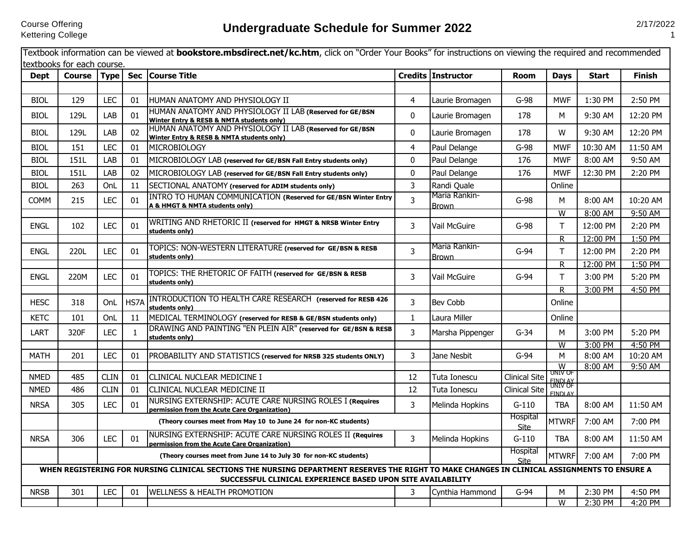|             | textbooks for each course. |             |              | Textbook information can be viewed at <b>bookstore.mbsdirect.net/kc.htm</b> , click on "Order Your Books" for instructions on viewing the required and recommended                                          |                |                               |                         |                              |                    |                     |
|-------------|----------------------------|-------------|--------------|-------------------------------------------------------------------------------------------------------------------------------------------------------------------------------------------------------------|----------------|-------------------------------|-------------------------|------------------------------|--------------------|---------------------|
| <b>Dept</b> | <b>Course</b>              | <b>Type</b> | <b>Sec</b>   | <b>Course Title</b>                                                                                                                                                                                         |                | Credits Instructor            | <b>Room</b>             | <b>Days</b>                  | Start              | <b>Finish</b>       |
|             |                            |             |              |                                                                                                                                                                                                             |                |                               |                         |                              |                    |                     |
| <b>BIOL</b> | 129                        | <b>LEC</b>  | 01           | HUMAN ANATOMY AND PHYSIOLOGY II                                                                                                                                                                             | 4              | Laurie Bromagen               | $G-98$                  | <b>MWF</b>                   | 1:30 PM            | 2:50 PM             |
| <b>BIOL</b> | 129L                       | LAB         | 01           | HUMAN ANATOMY AND PHYSIOLOGY II LAB (Reserved for GE/BSN<br>Winter Entry & RESB & NMTA students only)                                                                                                       | $\mathbf{0}$   | Laurie Bromagen               | 178                     | М                            | 9:30 AM            | 12:20 PM            |
| <b>BIOL</b> | 129L                       | LAB         | 02           | HUMAN ANATOMY AND PHYSIOLOGY II LAB (Reserved for GE/BSN<br>Winter Entry & RESB & NMTA students only)                                                                                                       | 0              | Laurie Bromagen               | 178                     | W                            | 9:30 AM            | 12:20 PM            |
| <b>BIOL</b> | 151                        | <b>LEC</b>  | 01           | <b>MICROBIOLOGY</b>                                                                                                                                                                                         | $\overline{4}$ | Paul Delange                  | $G-98$                  | <b>MWF</b>                   | 10:30 AM           | 11:50 AM            |
| <b>BIOL</b> | 151L                       | LAB         | 01           | MICROBIOLOGY LAB (reserved for GE/BSN Fall Entry students only)                                                                                                                                             | $\mathbf{0}$   | Paul Delange                  | 176                     | <b>MWF</b>                   | 8:00 AM            | 9:50 AM             |
| BIOL        | 151L                       | LAB         | 02           | MICROBIOLOGY LAB (reserved for GE/BSN Fall Entry students only)                                                                                                                                             | $\mathbf 0$    | Paul Delange                  | 176                     | <b>MWF</b>                   | 12:30 PM           | 2:20 PM             |
| <b>BIOL</b> | 263                        | OnL         | 11           | SECTIONAL ANATOMY (reserved for ADIM students only)                                                                                                                                                         | 3              | Randi Quale                   |                         | Online                       |                    |                     |
| <b>COMM</b> | 215                        | <b>LEC</b>  | 01           | <b>INTRO TO HUMAN COMMUNICATION (Reserved for GE/BSN Winter Entry</b><br>A & HMGT & NMTA students only)                                                                                                     | $\overline{3}$ | Maria Rankin-<br><b>Brown</b> | $G-98$                  | M                            | 8:00 AM            | 10:20 AM            |
|             |                            |             |              |                                                                                                                                                                                                             |                |                               |                         | W                            | 8:00 AM            | 9:50 AM             |
| <b>ENGL</b> | 102                        | <b>LEC</b>  | 01           | WRITING AND RHETORIC II (reserved for HMGT & NRSB Winter Entry<br>students only)                                                                                                                            | 3              | Vail McGuire                  | $G-98$                  | T                            | 12:00 PM           | 2:20 PM             |
|             |                            |             |              |                                                                                                                                                                                                             |                | Maria Rankin-                 |                         | R                            | 12:00 PM           | 1:50 PM             |
| <b>ENGL</b> | 220L                       | <b>LEC</b>  | 01           | TOPICS: NON-WESTERN LITERATURE (reserved for GE/BSN & RESB<br>students only)                                                                                                                                | $\overline{3}$ | <b>Brown</b>                  | $G-94$                  | T                            | 12:00 PM           | 2:20 PM             |
|             |                            |             |              |                                                                                                                                                                                                             |                |                               |                         | R.                           | 12:00 PM           | 1:50 PM             |
| <b>ENGL</b> | 220M                       | LEC         | 01           | TOPICS: THE RHETORIC OF FAITH (reserved for GE/BSN & RESB<br>students only)                                                                                                                                 | 3              | Vail McGuire                  | $G-94$                  | T                            | 3:00 PM            | 5:20 PM             |
|             |                            |             |              |                                                                                                                                                                                                             |                |                               |                         | R.                           | 3:00 PM            | 4:50 PM             |
| <b>HESC</b> | 318                        | OnL         | HS7A         | INTRODUCTION TO HEALTH CARE RESEARCH (reserved for RESB 426<br>students only)                                                                                                                               | 3              | <b>Bev Cobb</b>               |                         | Online                       |                    |                     |
| <b>KETC</b> | 101                        | OnL         | 11           | MEDICAL TERMINOLOGY (reserved for RESB & GE/BSN students only)                                                                                                                                              | $\mathbf{1}$   | Laura Miller                  |                         | Online                       |                    |                     |
| LART        | 320F                       | LEC         | $\mathbf{1}$ | DRAWING AND PAINTING "EN PLEIN AIR" (reserved for GE/BSN & RESB<br>students only)                                                                                                                           | 3              | Marsha Pippenger              | $G-34$                  | М                            | 3:00 PM            | 5:20 PM             |
|             |                            |             |              |                                                                                                                                                                                                             |                |                               |                         | W                            | 3:00 PM            | 4:50 PM             |
| <b>MATH</b> | 201                        | LEC         | 01           | PROBABILITY AND STATISTICS (reserved for NRSB 325 students ONLY)                                                                                                                                            | 3              | Jane Nesbit                   | $G-94$                  | M<br>$\overline{\mathsf{w}}$ | 8:00 AM<br>8:00 AM | 10:20 AM<br>9:50 AM |
| NMED        | 485                        | <b>CLIN</b> | 01           | CLINICAL NUCLEAR MEDICINE I                                                                                                                                                                                 | 12             | Tuta Ionescu                  | <b>Clinical Site</b>    | univ of<br><b>FINDI AY</b>   |                    |                     |
| <b>NMED</b> | 486                        | <b>CLIN</b> | 01           | CLINICAL NUCLEAR MEDICINE II                                                                                                                                                                                | 12             | Tuta Ionescu                  | <b>Clinical Site</b>    | UNIV OF<br><b>FINDLAY</b>    |                    |                     |
| <b>NRSA</b> | 305                        | <b>LEC</b>  | 01           | NURSING EXTERNSHIP: ACUTE CARE NURSING ROLES I (Requires<br>permission from the Acute Care Organization)                                                                                                    | 3              | Melinda Hopkins               | $G-110$                 | <b>TBA</b>                   | 8:00 AM            | 11:50 AM            |
|             |                            |             |              | (Theory courses meet from May 10 to June 24 for non-KC students)                                                                                                                                            |                |                               | Hospital<br><b>Site</b> | <b>MTWRF</b>                 | 7:00 AM            | 7:00 PM             |
| <b>NRSA</b> | 306                        | <b>LEC</b>  | 01           | NURSING EXTERNSHIP: ACUTE CARE NURSING ROLES II (Requires<br>permission from the Acute Care Organization)                                                                                                   | $\overline{3}$ | Melinda Hopkins               | $G-110$                 | <b>TBA</b>                   | 8:00 AM            | 11:50 AM            |
|             |                            |             |              | (Theory courses meet from June 14 to July 30 for non-KC students)                                                                                                                                           |                |                               | Hospital<br>Site        | <b>MTWRF</b>                 | 7:00 AM            | 7:00 PM             |
|             |                            |             |              | WHEN REGISTERING FOR NURSING CLINICAL SECTIONS THE NURSING DEPARTMENT RESERVES THE RIGHT TO MAKE CHANGES IN CLINICAL ASSIGNMENTS TO ENSURE A<br>SUCCESSFUL CLINICAL EXPERIENCE BASED UPON SITE AVAILABILITY |                |                               |                         |                              |                    |                     |
| <b>NRSB</b> | 301                        | LEC         | 01           | <b>WELLNESS &amp; HEALTH PROMOTION</b>                                                                                                                                                                      | 3              | Cynthia Hammond               | $G-94$                  | м                            | 2:30 PM            | 4:50 PM             |
|             |                            |             |              |                                                                                                                                                                                                             |                |                               |                         | $\overline{\mathsf{w}}$      | 2:30 PM            | 4:20 PM             |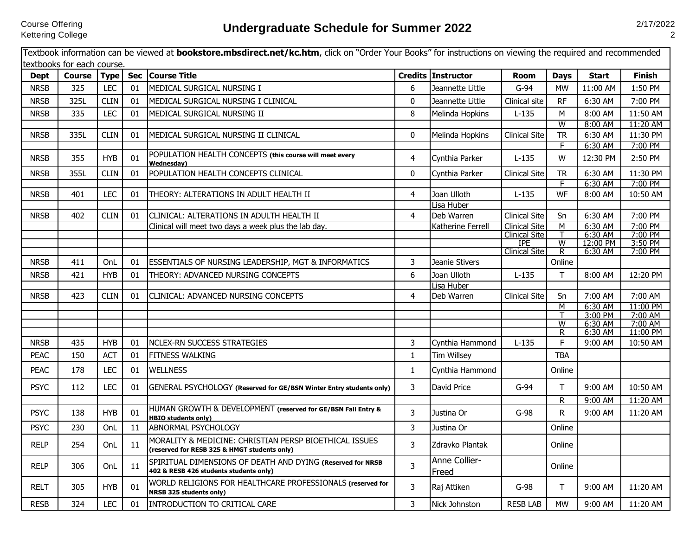|                            |                            |                           |                  | Textbook information can be viewed at <b>bookstore.mbsdirect.net/kc.htm</b> , click on "Order Your Books" for instructions on viewing the required and recommended |                |                        |                                    |                              |                     |                          |
|----------------------------|----------------------------|---------------------------|------------------|--------------------------------------------------------------------------------------------------------------------------------------------------------------------|----------------|------------------------|------------------------------------|------------------------------|---------------------|--------------------------|
|                            | textbooks for each course. |                           |                  | <b>Course Title</b>                                                                                                                                                |                | Credits Instructor     |                                    |                              |                     |                          |
| <b>Dept</b><br><b>NRSB</b> | <b>Course</b><br>325       | <b>Type</b><br><b>LEC</b> | <b>Sec</b><br>01 | MEDICAL SURGICAL NURSING I                                                                                                                                         | 6              | Jeannette Little       | <b>Room</b><br>$G-94$              | <b>Days</b><br><b>MW</b>     | Start<br>11:00 AM   | <b>Finish</b><br>1:50 PM |
|                            |                            |                           |                  |                                                                                                                                                                    |                |                        |                                    |                              |                     |                          |
| <b>NRSB</b>                | 325L                       | CLIN                      | 01               | MEDICAL SURGICAL NURSING I CLINICAL                                                                                                                                | 0              | Jeannette Little       | Clinical site                      | <b>RF</b>                    | 6:30 AM             | 7:00 PM                  |
| <b>NRSB</b>                | 335                        | <b>LEC</b>                | 01               | MEDICAL SURGICAL NURSING II                                                                                                                                        | 8              | Melinda Hopkins        | $L-135$                            | M<br>$\overline{W}$          | 8:00 AM             | 11:50 AM                 |
| <b>NRSB</b>                | 335L                       | <b>CLIN</b>               | 01               | MEDICAL SURGICAL NURSING II CLINICAL                                                                                                                               | $\mathbf 0$    | Melinda Hopkins        | <b>Clinical Site</b>               | <b>TR</b>                    | 8:00 AM<br>6:30 AM  | 11:20 AM<br>11:30 PM     |
|                            |                            |                           |                  |                                                                                                                                                                    |                |                        |                                    | F.                           | 6:30 AM             | 7:00 PM                  |
| <b>NRSB</b>                | 355                        | <b>HYB</b>                | 01               | POPULATION HEALTH CONCEPTS (this course will meet every<br><b>Wednesdav)</b>                                                                                       | 4              | Cynthia Parker         | $L-135$                            | W                            | 12:30 PM            | 2:50 PM                  |
| <b>NRSB</b>                | 355L                       | <b>CLIN</b>               | 01               | POPULATION HEALTH CONCEPTS CLINICAL                                                                                                                                | 0              | Cynthia Parker         | <b>Clinical Site</b>               | <b>TR</b>                    | 6:30 AM             | 11:30 PM                 |
|                            |                            |                           |                  |                                                                                                                                                                    |                |                        |                                    | F                            | 6:30 AM             | 7:00 PM                  |
| <b>NRSB</b>                | 401                        | <b>LEC</b>                | 01               | THEORY: ALTERATIONS IN ADULT HEALTH II                                                                                                                             | 4              | Joan Ulloth            | $L-135$                            | WF                           | 8:00 AM             | 10:50 AM                 |
|                            |                            |                           |                  |                                                                                                                                                                    |                | Lisa Huber             |                                    |                              |                     |                          |
| <b>NRSB</b>                | 402                        | <b>CLIN</b>               | 01               | CLINICAL: ALTERATIONS IN ADULTH HEALTH II                                                                                                                          | $\overline{4}$ | Deb Warren             | <b>Clinical Site</b>               | Sn                           | 6:30 AM             | 7:00 PM                  |
|                            |                            |                           |                  | Clinical will meet two days a week plus the lab day.                                                                                                               |                | Katherine Ferrell      | <b>Clinical Site</b>               | M                            | 6:30 AM             | 7:00 PM                  |
|                            |                            |                           |                  |                                                                                                                                                                    |                |                        | <b>Clinical Site</b><br><b>IPE</b> | т<br>$\overline{\mathsf{w}}$ | 6:30 AM<br>12:00 PM | 7:00 PM<br>3:50 PM       |
|                            |                            |                           |                  |                                                                                                                                                                    |                |                        | <b>Clinical Site</b>               | $\overline{R}$               | 6:30 AM             | 7:00 PM                  |
| <b>NRSB</b>                | 411                        | Onl_                      | 01               | ESSENTIALS OF NURSING LEADERSHIP, MGT & INFORMATICS                                                                                                                | 3              | Jeanie Stivers         |                                    | Online                       |                     |                          |
| <b>NRSB</b>                | 421                        | <b>HYB</b>                | 01               | THEORY: ADVANCED NURSING CONCEPTS                                                                                                                                  | 6              | Joan Ulloth            | $L-135$                            | $\top$                       | 8:00 AM             | 12:20 PM                 |
|                            |                            |                           |                  |                                                                                                                                                                    |                | Lisa Huber             |                                    |                              |                     |                          |
| <b>NRSB</b>                | 423                        | <b>CLIN</b>               | 01               | CLINICAL: ADVANCED NURSING CONCEPTS                                                                                                                                | $\overline{4}$ | Deb Warren             | <b>Clinical Site</b>               | Sn                           | 7:00 AM             | 7:00 AM                  |
|                            |                            |                           |                  |                                                                                                                                                                    |                |                        |                                    | M                            | 6:30 AM             | 11:00 PM                 |
|                            |                            |                           |                  |                                                                                                                                                                    |                |                        |                                    | т                            | 3:00 PM             | 7:00 AM                  |
|                            |                            |                           |                  |                                                                                                                                                                    |                |                        |                                    | W<br>R.                      | 6:30 AM<br>6:30 AM  | 7:00 AM<br>11:00 PM      |
| <b>NRSB</b>                | 435                        | <b>HYB</b>                | 01               | NCLEX-RN SUCCESS STRATEGIES                                                                                                                                        | 3              | Cynthia Hammond        | $L-135$                            | F                            | 9:00 AM             | 10:50 AM                 |
| <b>PEAC</b>                | 150                        | <b>ACT</b>                | 01               | <b>FITNESS WALKING</b>                                                                                                                                             | $\mathbf{1}$   | <b>Tim Willsey</b>     |                                    | <b>TBA</b>                   |                     |                          |
| <b>PEAC</b>                | 178                        | <b>LEC</b>                | 01               | <b>WELLNESS</b>                                                                                                                                                    | $\mathbf{1}$   | Cynthia Hammond        |                                    | Online                       |                     |                          |
| <b>PSYC</b>                | 112                        | <b>LEC</b>                | 01               | GENERAL PSYCHOLOGY (Reserved for GE/BSN Winter Entry students only)                                                                                                | 3              | David Price            | $G-94$                             | T                            | 9:00 AM             | 10:50 AM                 |
|                            |                            |                           |                  |                                                                                                                                                                    |                |                        |                                    | R.                           | 9:00 AM             | 11:20 AM                 |
| <b>PSYC</b>                | 138                        | <b>HYB</b>                | 01               | HUMAN GROWTH & DEVELOPMENT (reserved for GE/BSN Fall Entry &<br><b>HBIO students only)</b>                                                                         | $\overline{3}$ | Justina Or             | $G-98$                             | R                            | 9:00 AM             | 11:20 AM                 |
| <b>PSYC</b>                | 230                        | OnL                       | 11               | ABNORMAL PSYCHOLOGY                                                                                                                                                | $\overline{3}$ | Justina Or             |                                    | Online                       |                     |                          |
| <b>RELP</b>                | 254                        | OnL                       | 11               | MORALITY & MEDICINE: CHRISTIAN PERSP BIOETHICAL ISSUES<br>(reserved for RESB 325 & HMGT students only)                                                             | 3              | Zdravko Plantak        |                                    | Online                       |                     |                          |
| <b>RELP</b>                | 306                        | OnL                       | 11               | SPIRITUAL DIMENSIONS OF DEATH AND DYING (Reserved for NRSB<br>402 & RESB 426 students students only)                                                               | $\overline{3}$ | Anne Collier-<br>Freed |                                    | Online                       |                     |                          |
| <b>RELT</b>                | 305                        | <b>HYB</b>                | 01               | WORLD RELIGIONS FOR HEALTHCARE PROFESSIONALS (reserved for<br><b>NRSB 325 students only)</b>                                                                       | 3              | Raj Attiken            | $G-98$                             | T.                           | 9:00 AM             | 11:20 AM                 |
| <b>RESB</b>                | 324                        | LEC                       | 01               | INTRODUCTION TO CRITICAL CARE                                                                                                                                      | 3              | Nick Johnston          | <b>RESB LAB</b>                    | <b>MW</b>                    | 9:00 AM             | 11:20 AM                 |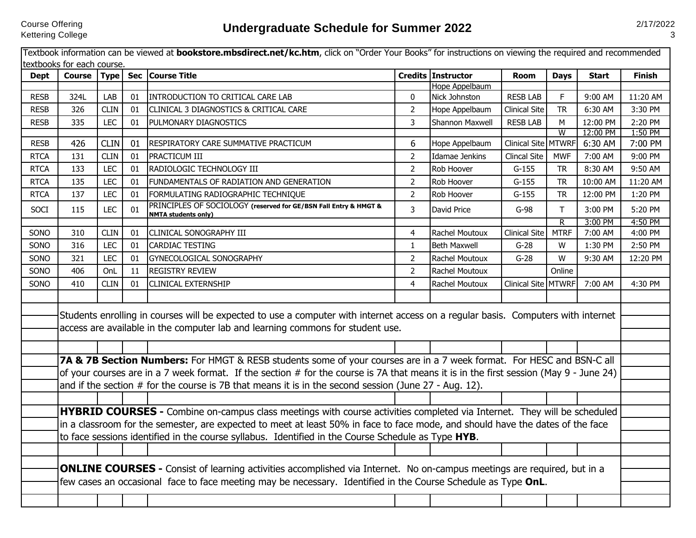|             | <b>Course</b> | Type Sec    |    | <b>Course Title</b>                                                                                                                                                                                                                             |                | Credits Instructor  | <b>Room</b>          | <b>Days</b>    | <b>Start</b>        | <b>Finish</b>      |
|-------------|---------------|-------------|----|-------------------------------------------------------------------------------------------------------------------------------------------------------------------------------------------------------------------------------------------------|----------------|---------------------|----------------------|----------------|---------------------|--------------------|
|             |               |             |    |                                                                                                                                                                                                                                                 |                | Hope Appelbaum      |                      |                |                     |                    |
| <b>RESB</b> | 324L          | LAB         | 01 | INTRODUCTION TO CRITICAL CARE LAB                                                                                                                                                                                                               | $\mathbf 0$    | Nick Johnston       | <b>RESBLAB</b>       | F              | 9:00 AM             | 11:20 AM           |
| <b>RESB</b> | 326           | <b>CLIN</b> | 01 | CLINICAL 3 DIAGNOSTICS & CRITICAL CARE                                                                                                                                                                                                          | $\overline{2}$ | Hope Appelbaum      | <b>Clinical Site</b> | <b>TR</b>      | 6:30 AM             | 3:30 PM            |
| <b>RESB</b> | 335           | <b>LEC</b>  | 01 | PULMONARY DIAGNOSTICS                                                                                                                                                                                                                           | 3              | Shannon Maxwell     | <b>RESB LAB</b>      | M              | 12:00 PM            | 2:20 PM            |
| <b>RESB</b> | 426           | <b>CLIN</b> | 01 | RESPIRATORY CARE SUMMATIVE PRACTICUM                                                                                                                                                                                                            | 6              | Hope Appelbaum      | Clinical Site MTWRF  | $\overline{W}$ | 12:00 PM<br>6:30 AM | 1:50 PM<br>7:00 PM |
| <b>RTCA</b> | 131           | <b>CLIN</b> | 01 | PRACTICUM III                                                                                                                                                                                                                                   | $\overline{2}$ | Idamae Jenkins      | <b>Clincal Site</b>  | <b>MWF</b>     | 7:00 AM             | 9:00 PM            |
|             | 133           | <b>LEC</b>  | 01 | RADIOLOGIC TECHNOLOGY III                                                                                                                                                                                                                       | $\overline{2}$ | Rob Hoover          | $G-155$              | <b>TR</b>      | 8:30 AM             | 9:50 AM            |
| <b>RTCA</b> |               |             |    |                                                                                                                                                                                                                                                 |                |                     |                      |                |                     |                    |
| <b>RTCA</b> | 135           | <b>LEC</b>  | 01 | FUNDAMENTALS OF RADIATION AND GENERATION                                                                                                                                                                                                        | $\overline{2}$ | Rob Hoover          | $G-155$              | <b>TR</b>      | 10:00 AM            | 11:20 AM           |
| <b>RTCA</b> | 137           | <b>LEC</b>  | 01 | FORMULATING RADIOGRAPHIC TECHNIQUE                                                                                                                                                                                                              | $\overline{2}$ | Rob Hoover          | $G-155$              | <b>TR</b>      | 12:00 PM            | 1:20 PM            |
| SOCI        | 115           | <b>LEC</b>  | 01 | PRINCIPLES OF SOCIOLOGY (reserved for GE/BSN Fall Entry & HMGT &<br><b>NMTA students only)</b>                                                                                                                                                  | 3              | David Price         | $G-98$               | T.             | 3:00 PM             | 5:20 PM            |
|             |               |             |    |                                                                                                                                                                                                                                                 |                |                     |                      | $\overline{R}$ | 3:00 PM             | 4:50 PM            |
| SONO        | 310           | <b>CLIN</b> | 01 | CLINICAL SONOGRAPHY III                                                                                                                                                                                                                         | 4              | Rachel Moutoux      | <b>Clinical Site</b> | <b>MTRF</b>    | 7:00 AM             | 4:00 PM            |
| SONO        | 316           | <b>LEC</b>  | 01 | CARDIAC TESTING                                                                                                                                                                                                                                 | $\mathbf{1}$   | <b>Beth Maxwell</b> | $G-28$               | W              | 1:30 PM             | 2:50 PM            |
| SONO        | 321           | <b>LEC</b>  | 01 | GYNECOLOGICAL SONOGRAPHY                                                                                                                                                                                                                        | $\overline{2}$ | Rachel Moutoux      | $G-28$               | W              | 9:30 AM             | 12:20 PM           |
| SONO        | 406           | OnL         | 11 | <b>REGISTRY REVIEW</b>                                                                                                                                                                                                                          | $\overline{2}$ | Rachel Moutoux      |                      | Online         |                     |                    |
| SONO        | 410           | <b>CLIN</b> | 01 | CLINICAL EXTERNSHIP                                                                                                                                                                                                                             | 4              | Rachel Moutoux      | Clinical Site MTWRF  |                | 7:00 AM             | 4:30 PM            |
|             |               |             |    | Students enrolling in courses will be expected to use a computer with internet access on a regular basis. Computers with internet                                                                                                               |                |                     |                      |                |                     |                    |
|             |               |             |    |                                                                                                                                                                                                                                                 |                |                     |                      |                |                     |                    |
|             |               |             |    | access are available in the computer lab and learning commons for student use.                                                                                                                                                                  |                |                     |                      |                |                     |                    |
|             |               |             |    |                                                                                                                                                                                                                                                 |                |                     |                      |                |                     |                    |
|             |               |             |    | 7A & 7B Section Numbers: For HMGT & RESB students some of your courses are in a 7 week format. For HESC and BSN-C all                                                                                                                           |                |                     |                      |                |                     |                    |
|             |               |             |    | of your courses are in a 7 week format. If the section # for the course is 7A that means it is in the first session (May 9 - June 24)                                                                                                           |                |                     |                      |                |                     |                    |
|             |               |             |    | and if the section $#$ for the course is 7B that means it is in the second session (June $27 - Aug. 12$ ).                                                                                                                                      |                |                     |                      |                |                     |                    |
|             |               |             |    |                                                                                                                                                                                                                                                 |                |                     |                      |                |                     |                    |
|             |               |             |    | HYBRID COURSES - Combine on-campus class meetings with course activities completed via Internet. They will be scheduled                                                                                                                         |                |                     |                      |                |                     |                    |
|             |               |             |    | in a classroom for the semester, are expected to meet at least 50% in face to face mode, and should have the dates of the face                                                                                                                  |                |                     |                      |                |                     |                    |
|             |               |             |    | to face sessions identified in the course syllabus. Identified in the Course Schedule as Type HYB.                                                                                                                                              |                |                     |                      |                |                     |                    |
|             |               |             |    |                                                                                                                                                                                                                                                 |                |                     |                      |                |                     |                    |
|             |               |             |    |                                                                                                                                                                                                                                                 |                |                     |                      |                |                     |                    |
|             |               |             |    | <b>ONLINE COURSES</b> - Consist of learning activities accomplished via Internet. No on-campus meetings are required, but in a<br>few cases an occasional face to face meeting may be necessary. Identified in the Course Schedule as Type OnL. |                |                     |                      |                |                     |                    |